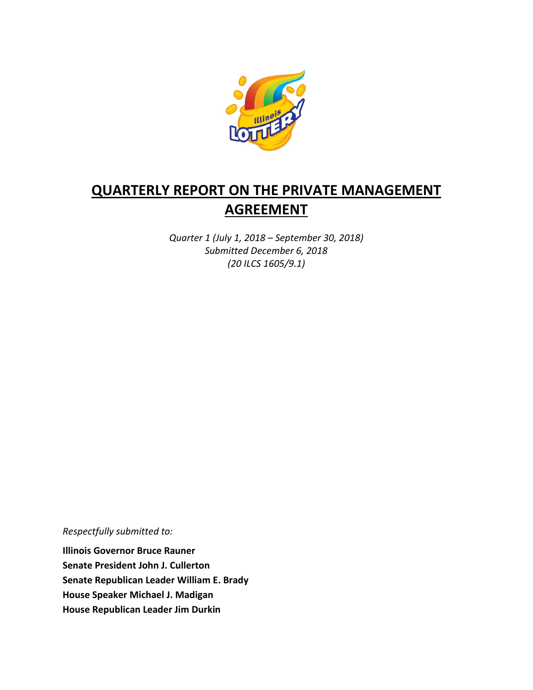

# **QUARTERLY REPORT ON THE PRIVATE MANAGEMENT AGREEMENT**

*Quarter 1 (July 1, 2018 – September 30, 2018) Submitted December 6, 2018 (20 ILCS 1605/9.1)*

*Respectfully submitted to:* 

**Illinois Governor Bruce Rauner Senate President John J. Cullerton Senate Republican Leader William E. Brady House Speaker Michael J. Madigan House Republican Leader Jim Durkin**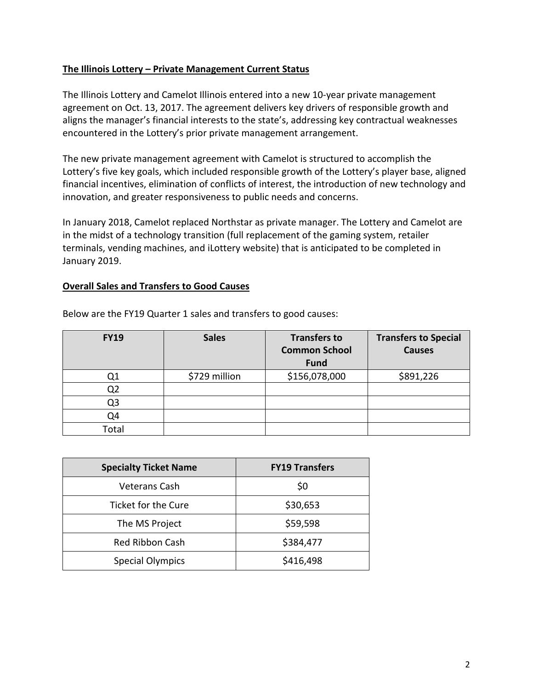## **The Illinois Lottery – Private Management Current Status**

The Illinois Lottery and Camelot Illinois entered into a new 10-year private management agreement on Oct. 13, 2017. The agreement delivers key drivers of responsible growth and aligns the manager's financial interests to the state's, addressing key contractual weaknesses encountered in the Lottery's prior private management arrangement.

The new private management agreement with Camelot is structured to accomplish the Lottery's five key goals, which included responsible growth of the Lottery's player base, aligned financial incentives, elimination of conflicts of interest, the introduction of new technology and innovation, and greater responsiveness to public needs and concerns.

In January 2018, Camelot replaced Northstar as private manager. The Lottery and Camelot are in the midst of a technology transition (full replacement of the gaming system, retailer terminals, vending machines, and iLottery website) that is anticipated to be completed in January 2019.

#### **Overall Sales and Transfers to Good Causes**

| <b>FY19</b> | <b>Sales</b>  | <b>Transfers to</b><br><b>Common School</b><br><b>Fund</b> | <b>Transfers to Special</b><br><b>Causes</b> |
|-------------|---------------|------------------------------------------------------------|----------------------------------------------|
|             | \$729 million | \$156,078,000                                              | \$891,226                                    |
| Q2          |               |                                                            |                                              |
| Q3          |               |                                                            |                                              |
| Q4          |               |                                                            |                                              |
| Total       |               |                                                            |                                              |

Below are the FY19 Quarter 1 sales and transfers to good causes:

| <b>Specialty Ticket Name</b> | <b>FY19 Transfers</b> |  |
|------------------------------|-----------------------|--|
| <b>Veterans Cash</b>         | \$0                   |  |
| Ticket for the Cure          | \$30,653              |  |
| The MS Project               | \$59,598              |  |
| <b>Red Ribbon Cash</b>       | \$384,477             |  |
| <b>Special Olympics</b>      | \$416,498             |  |